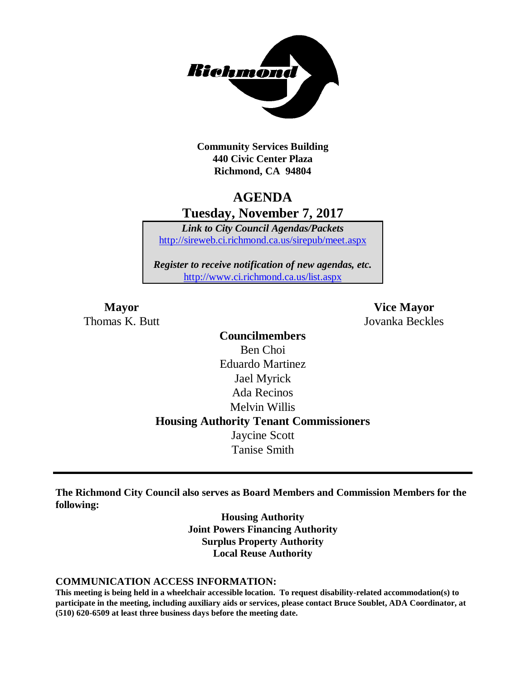

**Community Services Building 440 Civic Center Plaza Richmond, CA 94804**

## **AGENDA Tuesday, November 7, 2017**

*Link to City Council Agendas/Packets* <http://sireweb.ci.richmond.ca.us/sirepub/meet.aspx>

*Register to receive notification of new agendas, etc.* <http://www.ci.richmond.ca.us/list.aspx>

**Mayor Vice Mayor** Thomas K. Butt Jovanka Beckles

> **Councilmembers** Ben Choi Eduardo Martinez Jael Myrick Ada Recinos Melvin Willis **Housing Authority Tenant Commissioners** Jaycine Scott Tanise Smith

**The Richmond City Council also serves as Board Members and Commission Members for the following:**

> **Housing Authority Joint Powers Financing Authority Surplus Property Authority Local Reuse Authority**

#### **COMMUNICATION ACCESS INFORMATION:**

**This meeting is being held in a wheelchair accessible location. To request disability-related accommodation(s) to participate in the meeting, including auxiliary aids or services, please contact Bruce Soublet, ADA Coordinator, at (510) 620-6509 at least three business days before the meeting date.**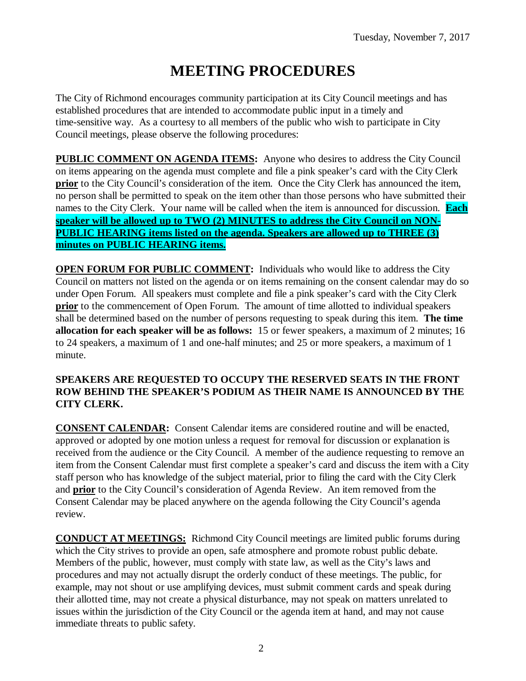# **MEETING PROCEDURES**

The City of Richmond encourages community participation at its City Council meetings and has established procedures that are intended to accommodate public input in a timely and time-sensitive way. As a courtesy to all members of the public who wish to participate in City Council meetings, please observe the following procedures:

**PUBLIC COMMENT ON AGENDA ITEMS:** Anyone who desires to address the City Council on items appearing on the agenda must complete and file a pink speaker's card with the City Clerk **prior** to the City Council's consideration of the item. Once the City Clerk has announced the item, no person shall be permitted to speak on the item other than those persons who have submitted their names to the City Clerk. Your name will be called when the item is announced for discussion. **Each speaker will be allowed up to TWO (2) MINUTES to address the City Council on NON-PUBLIC HEARING items listed on the agenda. Speakers are allowed up to THREE (3) minutes on PUBLIC HEARING items.**

**OPEN FORUM FOR PUBLIC COMMENT:** Individuals who would like to address the City Council on matters not listed on the agenda or on items remaining on the consent calendar may do so under Open Forum. All speakers must complete and file a pink speaker's card with the City Clerk **prior** to the commencement of Open Forum. The amount of time allotted to individual speakers shall be determined based on the number of persons requesting to speak during this item. **The time allocation for each speaker will be as follows:** 15 or fewer speakers, a maximum of 2 minutes; 16 to 24 speakers, a maximum of 1 and one-half minutes; and 25 or more speakers, a maximum of 1 minute.

#### **SPEAKERS ARE REQUESTED TO OCCUPY THE RESERVED SEATS IN THE FRONT ROW BEHIND THE SPEAKER'S PODIUM AS THEIR NAME IS ANNOUNCED BY THE CITY CLERK.**

**CONSENT CALENDAR:** Consent Calendar items are considered routine and will be enacted, approved or adopted by one motion unless a request for removal for discussion or explanation is received from the audience or the City Council. A member of the audience requesting to remove an item from the Consent Calendar must first complete a speaker's card and discuss the item with a City staff person who has knowledge of the subject material, prior to filing the card with the City Clerk and **prior** to the City Council's consideration of Agenda Review. An item removed from the Consent Calendar may be placed anywhere on the agenda following the City Council's agenda review.

**CONDUCT AT MEETINGS:** Richmond City Council meetings are limited public forums during which the City strives to provide an open, safe atmosphere and promote robust public debate. Members of the public, however, must comply with state law, as well as the City's laws and procedures and may not actually disrupt the orderly conduct of these meetings. The public, for example, may not shout or use amplifying devices, must submit comment cards and speak during their allotted time, may not create a physical disturbance, may not speak on matters unrelated to issues within the jurisdiction of the City Council or the agenda item at hand, and may not cause immediate threats to public safety.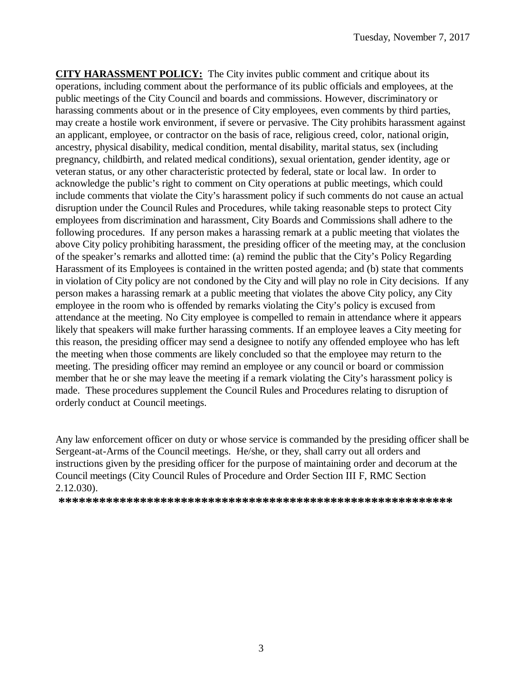**CITY HARASSMENT POLICY:** The City invites public comment and critique about its operations, including comment about the performance of its public officials and employees, at the public meetings of the City Council and boards and commissions. However, discriminatory or harassing comments about or in the presence of City employees, even comments by third parties, may create a hostile work environment, if severe or pervasive. The City prohibits harassment against an applicant, employee, or contractor on the basis of race, religious creed, color, national origin, ancestry, physical disability, medical condition, mental disability, marital status, sex (including pregnancy, childbirth, and related medical conditions), sexual orientation, gender identity, age or veteran status, or any other characteristic protected by federal, state or local law. In order to acknowledge the public's right to comment on City operations at public meetings, which could include comments that violate the City's harassment policy if such comments do not cause an actual disruption under the Council Rules and Procedures, while taking reasonable steps to protect City employees from discrimination and harassment, City Boards and Commissions shall adhere to the following procedures. If any person makes a harassing remark at a public meeting that violates the above City policy prohibiting harassment, the presiding officer of the meeting may, at the conclusion of the speaker's remarks and allotted time: (a) remind the public that the City's Policy Regarding Harassment of its Employees is contained in the written posted agenda; and (b) state that comments in violation of City policy are not condoned by the City and will play no role in City decisions. If any person makes a harassing remark at a public meeting that violates the above City policy, any City employee in the room who is offended by remarks violating the City's policy is excused from attendance at the meeting. No City employee is compelled to remain in attendance where it appears likely that speakers will make further harassing comments. If an employee leaves a City meeting for this reason, the presiding officer may send a designee to notify any offended employee who has left the meeting when those comments are likely concluded so that the employee may return to the meeting. The presiding officer may remind an employee or any council or board or commission member that he or she may leave the meeting if a remark violating the City's harassment policy is made. These procedures supplement the Council Rules and Procedures relating to disruption of orderly conduct at Council meetings.

Any law enforcement officer on duty or whose service is commanded by the presiding officer shall be Sergeant-at-Arms of the Council meetings. He/she, or they, shall carry out all orders and instructions given by the presiding officer for the purpose of maintaining order and decorum at the Council meetings (City Council Rules of Procedure and Order Section III F, RMC Section 2.12.030).

**\*\*\*\*\*\*\*\*\*\*\*\*\*\*\*\*\*\*\*\*\*\*\*\*\*\*\*\*\*\*\*\*\*\*\*\*\*\*\*\*\*\*\*\*\*\*\*\*\*\*\*\*\*\*\*\*\*\***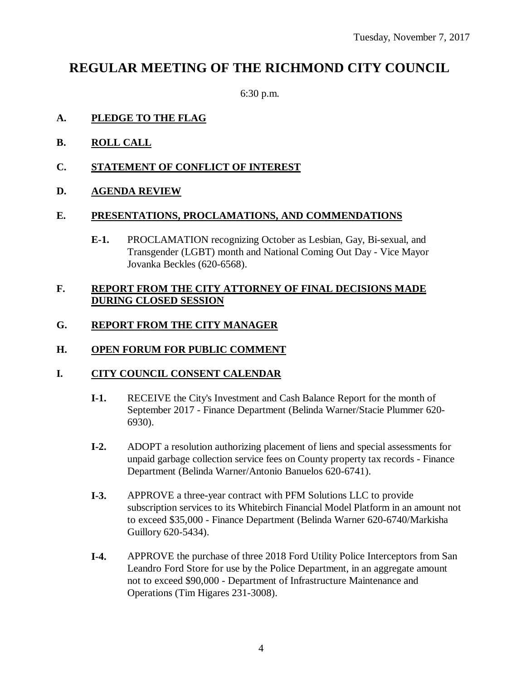## **REGULAR MEETING OF THE RICHMOND CITY COUNCIL**

6:30 p.m.

#### **A. PLEDGE TO THE FLAG**

- **B. ROLL CALL**
- **C. STATEMENT OF CONFLICT OF INTEREST**
- **D. AGENDA REVIEW**

#### **E. PRESENTATIONS, PROCLAMATIONS, AND COMMENDATIONS**

**E-1.** PROCLAMATION recognizing October as Lesbian, Gay, Bi-sexual, and Transgender (LGBT) month and National Coming Out Day - Vice Mayor Jovanka Beckles (620-6568).

#### **F. REPORT FROM THE CITY ATTORNEY OF FINAL DECISIONS MADE DURING CLOSED SESSION**

#### **G. REPORT FROM THE CITY MANAGER**

#### **H. OPEN FORUM FOR PUBLIC COMMENT**

#### **I. CITY COUNCIL CONSENT CALENDAR**

- **I-1.** RECEIVE the City's Investment and Cash Balance Report for the month of September 2017 - Finance Department (Belinda Warner/Stacie Plummer 620- 6930).
- **I-2.** ADOPT a resolution authorizing placement of liens and special assessments for unpaid garbage collection service fees on County property tax records - Finance Department (Belinda Warner/Antonio Banuelos 620-6741).
- **I-3.** APPROVE a three-year contract with PFM Solutions LLC to provide subscription services to its Whitebirch Financial Model Platform in an amount not to exceed \$35,000 - Finance Department (Belinda Warner 620-6740/Markisha Guillory 620-5434).
- **I-4.** APPROVE the purchase of three 2018 Ford Utility Police Interceptors from San Leandro Ford Store for use by the Police Department, in an aggregate amount not to exceed \$90,000 - Department of Infrastructure Maintenance and Operations (Tim Higares 231-3008).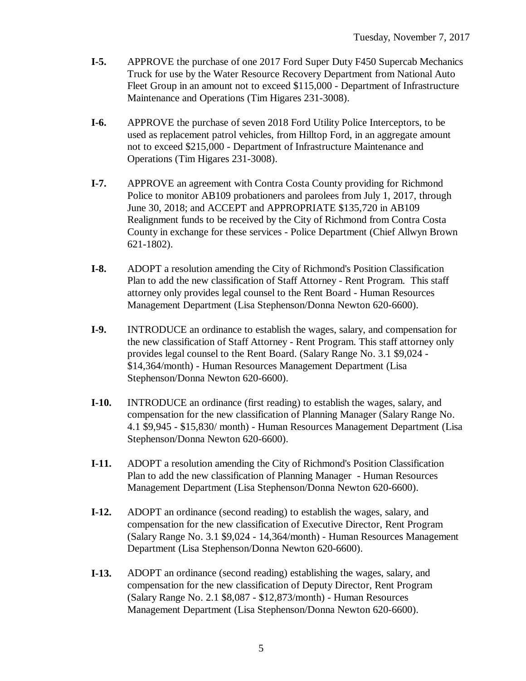- **I-5.** APPROVE the purchase of one 2017 Ford Super Duty F450 Supercab Mechanics Truck for use by the Water Resource Recovery Department from National Auto Fleet Group in an amount not to exceed \$115,000 - Department of Infrastructure Maintenance and Operations (Tim Higares 231-3008).
- **I-6.** APPROVE the purchase of seven 2018 Ford Utility Police Interceptors, to be used as replacement patrol vehicles, from Hilltop Ford, in an aggregate amount not to exceed \$215,000 - Department of Infrastructure Maintenance and Operations (Tim Higares 231-3008).
- **I-7.** APPROVE an agreement with Contra Costa County providing for Richmond Police to monitor AB109 probationers and parolees from July 1, 2017, through June 30, 2018; and ACCEPT and APPROPRIATE \$135,720 in AB109 Realignment funds to be received by the City of Richmond from Contra Costa County in exchange for these services - Police Department (Chief Allwyn Brown 621-1802).
- **I-8.** ADOPT a resolution amending the City of Richmond's Position Classification Plan to add the new classification of Staff Attorney - Rent Program. This staff attorney only provides legal counsel to the Rent Board - Human Resources Management Department (Lisa Stephenson/Donna Newton 620-6600).
- **I-9.** INTRODUCE an ordinance to establish the wages, salary, and compensation for the new classification of Staff Attorney - Rent Program. This staff attorney only provides legal counsel to the Rent Board. (Salary Range No. 3.1 \$9,024 - \$14,364/month) - Human Resources Management Department (Lisa Stephenson/Donna Newton 620-6600).
- **I-10.** INTRODUCE an ordinance (first reading) to establish the wages, salary, and compensation for the new classification of Planning Manager (Salary Range No. 4.1 \$9,945 - \$15,830/ month) - Human Resources Management Department (Lisa Stephenson/Donna Newton 620-6600).
- **I-11.** ADOPT a resolution amending the City of Richmond's Position Classification Plan to add the new classification of Planning Manager - Human Resources Management Department (Lisa Stephenson/Donna Newton 620-6600).
- **I-12.** ADOPT an ordinance (second reading) to establish the wages, salary, and compensation for the new classification of Executive Director, Rent Program (Salary Range No. 3.1 \$9,024 - 14,364/month) - Human Resources Management Department (Lisa Stephenson/Donna Newton 620-6600).
- **I-13.** ADOPT an ordinance (second reading) establishing the wages, salary, and compensation for the new classification of Deputy Director, Rent Program (Salary Range No. 2.1 \$8,087 - \$12,873/month) - Human Resources Management Department (Lisa Stephenson/Donna Newton 620-6600).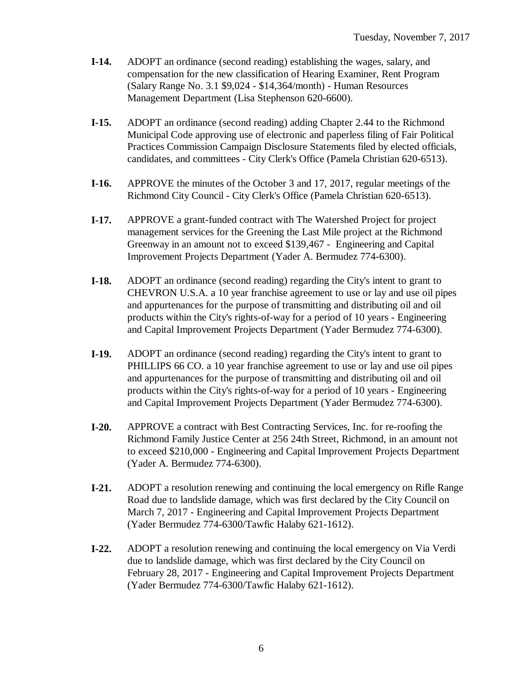- **I-14.** ADOPT an ordinance (second reading) establishing the wages, salary, and compensation for the new classification of Hearing Examiner, Rent Program (Salary Range No. 3.1 \$9,024 - \$14,364/month) - Human Resources Management Department (Lisa Stephenson 620-6600).
- **I-15.** ADOPT an ordinance (second reading) adding Chapter 2.44 to the Richmond Municipal Code approving use of electronic and paperless filing of Fair Political Practices Commission Campaign Disclosure Statements filed by elected officials, candidates, and committees - City Clerk's Office (Pamela Christian 620-6513).
- **I-16.** APPROVE the minutes of the October 3 and 17, 2017, regular meetings of the Richmond City Council - City Clerk's Office (Pamela Christian 620-6513).
- **I-17.** APPROVE a grant-funded contract with The Watershed Project for project management services for the Greening the Last Mile project at the Richmond Greenway in an amount not to exceed \$139,467 - Engineering and Capital Improvement Projects Department (Yader A. Bermudez 774-6300).
- **I-18.** ADOPT an ordinance (second reading) regarding the City's intent to grant to CHEVRON U.S.A. a 10 year franchise agreement to use or lay and use oil pipes and appurtenances for the purpose of transmitting and distributing oil and oil products within the City's rights-of-way for a period of 10 years - Engineering and Capital Improvement Projects Department (Yader Bermudez 774-6300).
- **I-19.** ADOPT an ordinance (second reading) regarding the City's intent to grant to PHILLIPS 66 CO. a 10 year franchise agreement to use or lay and use oil pipes and appurtenances for the purpose of transmitting and distributing oil and oil products within the City's rights-of-way for a period of 10 years - Engineering and Capital Improvement Projects Department (Yader Bermudez 774-6300).
- **I-20.** APPROVE a contract with Best Contracting Services, Inc. for re-roofing the Richmond Family Justice Center at 256 24th Street, Richmond, in an amount not to exceed \$210,000 - Engineering and Capital Improvement Projects Department (Yader A. Bermudez 774-6300).
- **I-21.** ADOPT a resolution renewing and continuing the local emergency on Rifle Range Road due to landslide damage, which was first declared by the City Council on March 7, 2017 - Engineering and Capital Improvement Projects Department (Yader Bermudez 774-6300/Tawfic Halaby 621-1612).
- **I-22.** ADOPT a resolution renewing and continuing the local emergency on Via Verdi due to landslide damage, which was first declared by the City Council on February 28, 2017 - Engineering and Capital Improvement Projects Department (Yader Bermudez 774-6300/Tawfic Halaby 621-1612).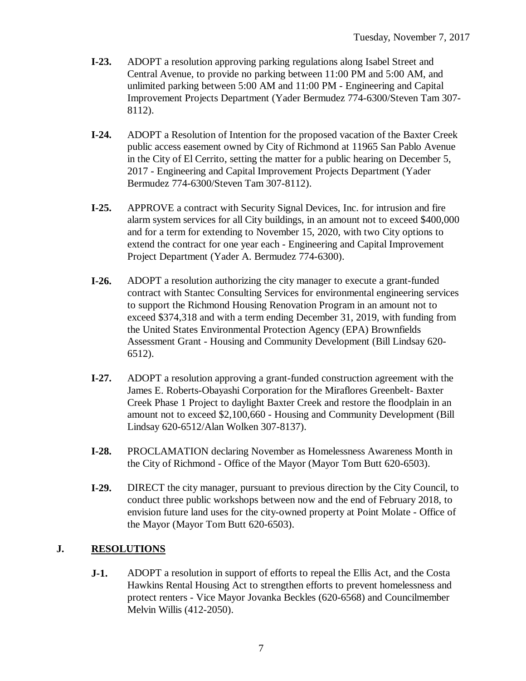- **I-23.** ADOPT a resolution approving parking regulations along Isabel Street and Central Avenue, to provide no parking between 11:00 PM and 5:00 AM, and unlimited parking between 5:00 AM and 11:00 PM - Engineering and Capital Improvement Projects Department (Yader Bermudez 774-6300/Steven Tam 307- 8112).
- **I-24.** ADOPT a Resolution of Intention for the proposed vacation of the Baxter Creek public access easement owned by City of Richmond at 11965 San Pablo Avenue in the City of El Cerrito, setting the matter for a public hearing on December 5, 2017 - Engineering and Capital Improvement Projects Department (Yader Bermudez 774-6300/Steven Tam 307-8112).
- **I-25.** APPROVE a contract with Security Signal Devices, Inc. for intrusion and fire alarm system services for all City buildings, in an amount not to exceed \$400,000 and for a term for extending to November 15, 2020, with two City options to extend the contract for one year each - Engineering and Capital Improvement Project Department (Yader A. Bermudez 774-6300).
- **I-26.** ADOPT a resolution authorizing the city manager to execute a grant-funded contract with Stantec Consulting Services for environmental engineering services to support the Richmond Housing Renovation Program in an amount not to exceed \$374,318 and with a term ending December 31, 2019, with funding from the United States Environmental Protection Agency (EPA) Brownfields Assessment Grant - Housing and Community Development (Bill Lindsay 620- 6512).
- **I-27.** ADOPT a resolution approving a grant-funded construction agreement with the James E. Roberts-Obayashi Corporation for the Miraflores Greenbelt- Baxter Creek Phase 1 Project to daylight Baxter Creek and restore the floodplain in an amount not to exceed \$2,100,660 - Housing and Community Development (Bill Lindsay 620-6512/Alan Wolken 307-8137).
- **I-28.** PROCLAMATION declaring November as Homelessness Awareness Month in the City of Richmond - Office of the Mayor (Mayor Tom Butt 620-6503).
- **I-29.** DIRECT the city manager, pursuant to previous direction by the City Council, to conduct three public workshops between now and the end of February 2018, to envision future land uses for the city-owned property at Point Molate - Office of the Mayor (Mayor Tom Butt 620-6503).

### **J. RESOLUTIONS**

**J-1.** ADOPT a resolution in support of efforts to repeal the Ellis Act, and the Costa Hawkins Rental Housing Act to strengthen efforts to prevent homelessness and protect renters - Vice Mayor Jovanka Beckles (620-6568) and Councilmember Melvin Willis (412-2050).